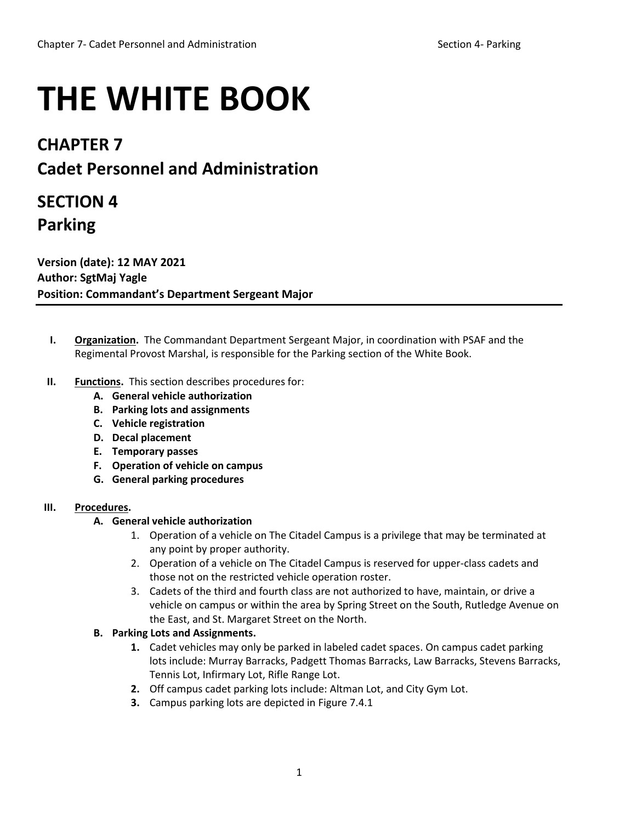# **THE WHITE BOOK**

# **CHAPTER 7**

# **Cadet Personnel and Administration**

# **SECTION 4 Parking**

**Version (date): 12 MAY 2021 Author: SgtMaj Yagle Position: Commandant's Department Sergeant Major**

- **I. Organization.** The Commandant Department Sergeant Major, in coordination with PSAF and the Regimental Provost Marshal, is responsible for the Parking section of the White Book.
- **II. Functions.** This section describes procedures for:
	- **A. General vehicle authorization**
	- **B. Parking lots and assignments**
	- **C. Vehicle registration**
	- **D. Decal placement**
	- **E. Temporary passes**
	- **F. Operation of vehicle on campus**
	- **G. General parking procedures**

# **III. Procedures.**

# **A. General vehicle authorization**

- 1. Operation of a vehicle on The Citadel Campus is a privilege that may be terminated at any point by proper authority.
- 2. Operation of a vehicle on The Citadel Campus is reserved for upper-class cadets and those not on the restricted vehicle operation roster.
- 3. Cadets of the third and fourth class are not authorized to have, maintain, or drive a vehicle on campus or within the area by Spring Street on the South, Rutledge Avenue on the East, and St. Margaret Street on the North.

# **B. Parking Lots and Assignments.**

- **1.** Cadet vehicles may only be parked in labeled cadet spaces. On campus cadet parking lots include: Murray Barracks, Padgett Thomas Barracks, Law Barracks, Stevens Barracks, Tennis Lot, Infirmary Lot, Rifle Range Lot.
- **2.** Off campus cadet parking lots include: Altman Lot, and City Gym Lot.
- **3.** Campus parking lots are depicted in Figure 7.4.1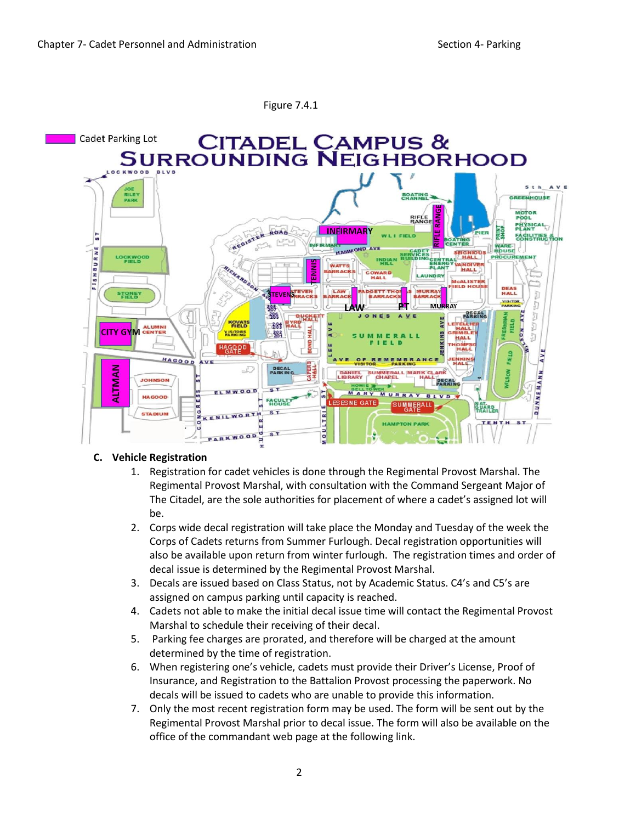

#### Figure 7.4.1

#### **C. Vehicle Registration**

- 1. Registration for cadet vehicles is done through the Regimental Provost Marshal. The Regimental Provost Marshal, with consultation with the Command Sergeant Major of The Citadel, are the sole authorities for placement of where a cadet's assigned lot will be.
- 2. Corps wide decal registration will take place the Monday and Tuesday of the week the Corps of Cadets returns from Summer Furlough. Decal registration opportunities will also be available upon return from winter furlough. The registration times and order of decal issue is determined by the Regimental Provost Marshal.
- 3. Decals are issued based on Class Status, not by Academic Status. C4's and C5's are assigned on campus parking until capacity is reached.
- 4. Cadets not able to make the initial decal issue time will contact the Regimental Provost Marshal to schedule their receiving of their decal.
- 5. Parking fee charges are prorated, and therefore will be charged at the amount determined by the time of registration.
- 6. When registering one's vehicle, cadets must provide their Driver's License, Proof of Insurance, and Registration to the Battalion Provost processing the paperwork. No decals will be issued to cadets who are unable to provide this information.
- 7. Only the most recent registration form may be used. The form will be sent out by the Regimental Provost Marshal prior to decal issue. The form will also be available on the office of the commandant web page at the following link.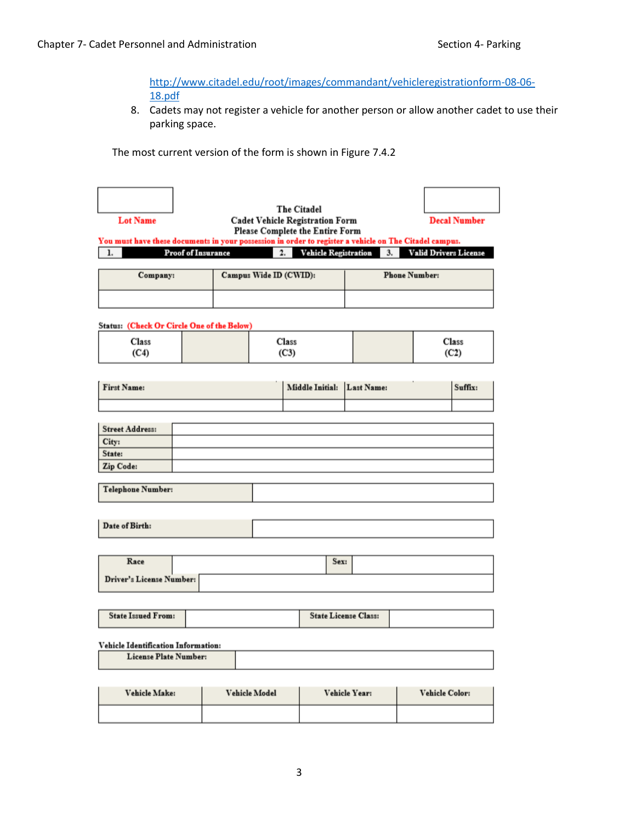[http://www.citadel.edu/root/images/commandant/vehicleregistrationform-08-06-](http://www.citadel.edu/root/images/commandant/vehicleregistrationform-08-06-18.pdf) [18.pdf](http://www.citadel.edu/root/images/commandant/vehicleregistrationform-08-06-18.pdf)

8. Cadets may not register a vehicle for another person or allow another cadet to use their parking space.

The most current version of the form is shown in Figure 7.4.2

| <b>Lot Name</b>                                                                                                      |  |                        |  | The Citadel<br><b>Cadet Vehicle Registration Form</b><br><b>Please Complete the Entire Form</b> |  |  | <b>Decal Number</b> |
|----------------------------------------------------------------------------------------------------------------------|--|------------------------|--|-------------------------------------------------------------------------------------------------|--|--|---------------------|
| You must have these documents in your possession in order to register a vehicle on The Citadel campus.               |  |                        |  |                                                                                                 |  |  |                     |
| <b>Vehicle Registration</b><br><b>Valid Drivers License</b><br><b>Proof of Insurance</b><br>3.<br>$\mathbf{2}$<br>1. |  |                        |  |                                                                                                 |  |  |                     |
| Company:                                                                                                             |  | Campus Wide ID (CWID): |  | <b>Phone Number:</b>                                                                            |  |  |                     |
|                                                                                                                      |  |                        |  |                                                                                                 |  |  |                     |

#### **Status:** (Check Or Circle One of the Below)

| Class<br>(C4) | Class<br>(C3) | Class<br>(C2) |
|---------------|---------------|---------------|
|               |               |               |

| <b>First Name:</b> | Middle Initial: Last Name: | Suffix: |
|--------------------|----------------------------|---------|
|                    |                            |         |

| Street Address:              |  |
|------------------------------|--|
|                              |  |
|                              |  |
| City:<br>State:<br>Zip Code: |  |

| Telephone Number: |  |  |  |
|-------------------|--|--|--|
|-------------------|--|--|--|

Date of Birth:

| Race                     |  | Sex: |  |
|--------------------------|--|------|--|
| Driver's License Number: |  |      |  |

| <b>State Issued From:</b> | <b>State License Class:</b> |  |
|---------------------------|-----------------------------|--|
|                           |                             |  |

#### Vehicle Identification Information:

License Plate Number:

| <b>Vehicle Make:</b><br><b>Vehicle Model</b> |  | Vehicle Year: | <b>Vehicle Color:</b> |
|----------------------------------------------|--|---------------|-----------------------|
|                                              |  |               |                       |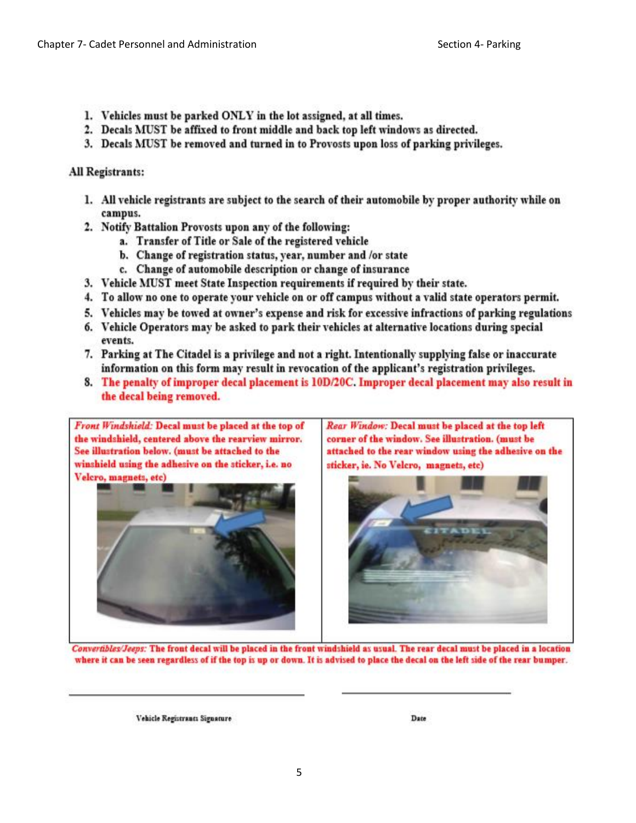- 1. Vehicles must be parked ONLY in the lot assigned, at all times.
- 2. Decals MUST be affixed to front middle and back top left windows as directed.
- 3. Decals MUST be removed and turned in to Provosts upon loss of parking privileges.

All Registrants:

- 1. All vehicle registrants are subject to the search of their automobile by proper authority while on campus.
- 2. Notify Battalion Provosts upon any of the following:
	- a. Transfer of Title or Sale of the registered vehicle
	- b. Change of registration status, year, number and /or state
	- c. Change of automobile description or change of insurance
- 3. Vehicle MUST meet State Inspection requirements if required by their state.
- 4. To allow no one to operate your vehicle on or off campus without a valid state operators permit.
- 5. Vehicles may be towed at owner's expense and risk for excessive infractions of parking regulations
- 6. Vehicle Operators may be asked to park their vehicles at alternative locations during special events.
- 7. Parking at The Citadel is a privilege and not a right. Intentionally supplying false or inaccurate information on this form may result in revocation of the applicant's registration privileges.
- 8. The penalty of improper decal placement is 10D/20C. Improper decal placement may also result in the decal being removed.



Front Windshield: Decal must be placed at the top of

Rear Window: Decal must be placed at the top left corner of the window. See illustration. (must be attached to the rear window using the adhesive on the sticker, ie. No Velcro, magnets, etc)



Convertibles/Jeeps: The front decal will be placed in the front windshield as usual. The rear decal must be placed in a location where it can be seen regardless of if the top is up or down. It is advised to place the decal on the left side of the rear bumper.

Vehicle Registrants Signature

Date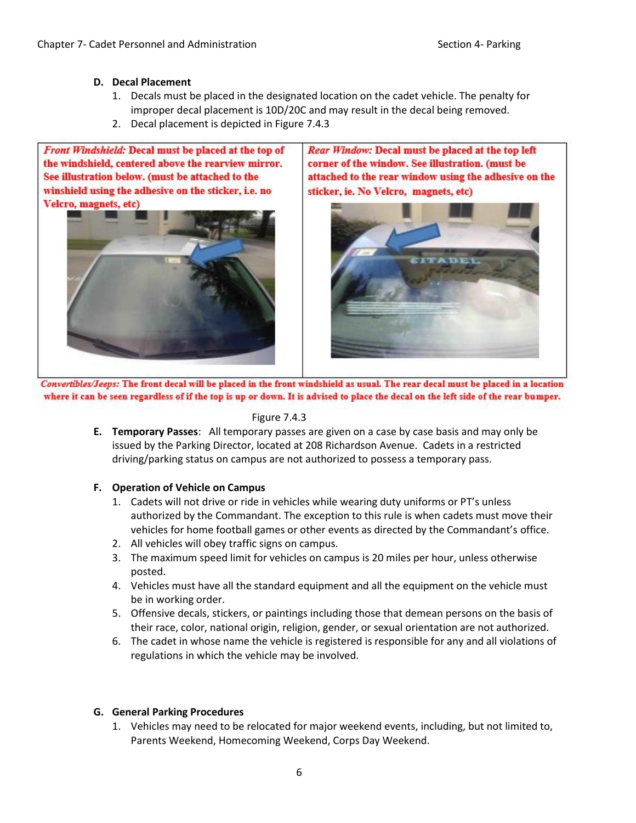- **D. Decal Placement**
	- 1. Decals must be placed in the designated location on the cadet vehicle. The penalty for improper decal placement is 10D/20C and may result in the decal being removed.
	- 2. Decal placement is depicted in Figure 7.4.3

Front Windshield: Decal must be placed at the top of the windshield, centered above the rearview mirror. See illustration below. (must be attached to the winshield using the adhesive on the sticker, i.e. no Velcro, magnets, etc)



Rear Window: Decal must be placed at the top left corner of the window. See illustration. (must be attached to the rear window using the adhesive on the sticker, ie. No Velcro, magnets, etc)



Convertibles/Jeeps: The front decal will be placed in the front windshield as usual. The rear decal must be placed in a location where it can be seen regardless of if the top is up or down. It is advised to place the decal on the left side of the rear bumper.

#### Figure 7.4.3

**E. Temporary Passes**: All temporary passes are given on a case by case basis and may only be issued by the Parking Director, located at 208 Richardson Avenue. Cadets in a restricted driving/parking status on campus are not authorized to possess a temporary pass.

## **F. Operation of Vehicle on Campus**

- 1. Cadets will not drive or ride in vehicles while wearing duty uniforms or PT's unless authorized by the Commandant. The exception to this rule is when cadets must move their vehicles for home football games or other events as directed by the Commandant's office.
- 2. All vehicles will obey traffic signs on campus.
- 3. The maximum speed limit for vehicles on campus is 20 miles per hour, unless otherwise posted.
- 4. Vehicles must have all the standard equipment and all the equipment on the vehicle must be in working order.
- 5. Offensive decals, stickers, or paintings including those that demean persons on the basis of their race, color, national origin, religion, gender, or sexual orientation are not authorized.
- 6. The cadet in whose name the vehicle is registered is responsible for any and all violations of regulations in which the vehicle may be involved.

## **G. General Parking Procedures**

1. Vehicles may need to be relocated for major weekend events, including, but not limited to, Parents Weekend, Homecoming Weekend, Corps Day Weekend.